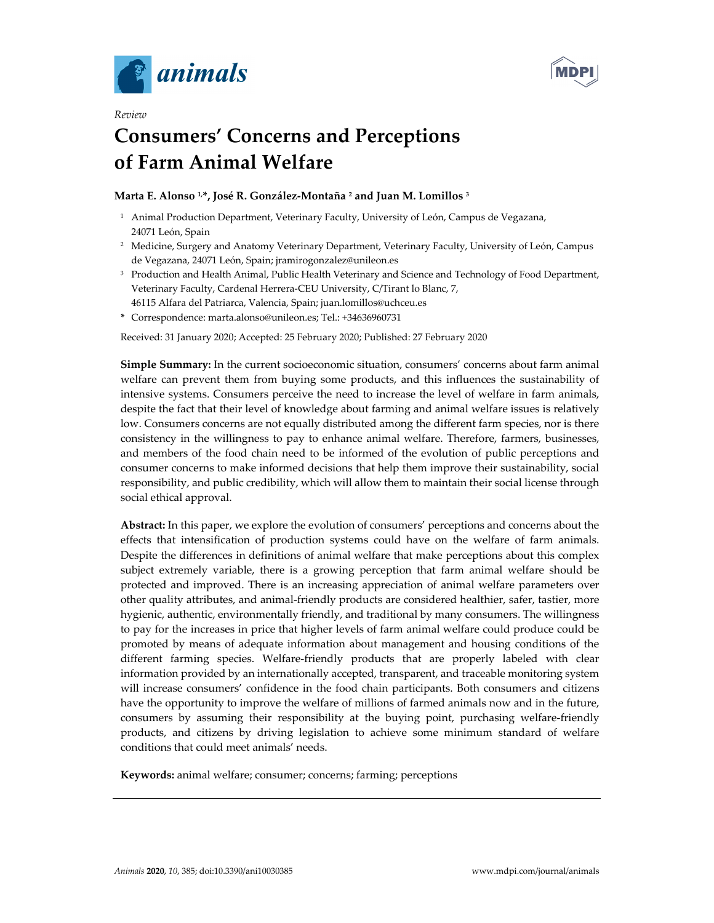

*Review* 



# **Consumers' Concerns and Perceptions of Farm Animal Welfare**

# **Marta E. Alonso 1,\*, José R. González-Montaña 2 and Juan M. Lomillos 3**

- <sup>1</sup> Animal Production Department, Veterinary Faculty, University of León, Campus de Vegazana, 24071 León, Spain
- 2 Medicine, Surgery and Anatomy Veterinary Department, Veterinary Faculty, University of León, Campus de Vegazana, 24071 León, Spain; jramirogonzalez@unileon.es
- <sup>3</sup> Production and Health Animal, Public Health Veterinary and Science and Technology of Food Department, Veterinary Faculty, Cardenal Herrera-CEU University, C/Tirant lo Blanc, 7, 46115 Alfara del Patriarca, Valencia, Spain; juan.lomillos@uchceu.es
- **\*** Correspondence: marta.alonso@unileon.es; Tel.: +34636960731

Received: 31 January 2020; Accepted: 25 February 2020; Published: 27 February 2020

**Simple Summary:** In the current socioeconomic situation, consumers' concerns about farm animal welfare can prevent them from buying some products, and this influences the sustainability of intensive systems. Consumers perceive the need to increase the level of welfare in farm animals, despite the fact that their level of knowledge about farming and animal welfare issues is relatively low. Consumers concerns are not equally distributed among the different farm species, nor is there consistency in the willingness to pay to enhance animal welfare. Therefore, farmers, businesses, and members of the food chain need to be informed of the evolution of public perceptions and consumer concerns to make informed decisions that help them improve their sustainability, social responsibility, and public credibility, which will allow them to maintain their social license through social ethical approval.

**Abstract:** In this paper, we explore the evolution of consumers' perceptions and concerns about the effects that intensification of production systems could have on the welfare of farm animals. Despite the differences in definitions of animal welfare that make perceptions about this complex subject extremely variable, there is a growing perception that farm animal welfare should be protected and improved. There is an increasing appreciation of animal welfare parameters over other quality attributes, and animal-friendly products are considered healthier, safer, tastier, more hygienic, authentic, environmentally friendly, and traditional by many consumers. The willingness to pay for the increases in price that higher levels of farm animal welfare could produce could be promoted by means of adequate information about management and housing conditions of the different farming species. Welfare-friendly products that are properly labeled with clear information provided by an internationally accepted, transparent, and traceable monitoring system will increase consumers' confidence in the food chain participants. Both consumers and citizens have the opportunity to improve the welfare of millions of farmed animals now and in the future, consumers by assuming their responsibility at the buying point, purchasing welfare-friendly products, and citizens by driving legislation to achieve some minimum standard of welfare conditions that could meet animals' needs.

**Keywords:** animal welfare; consumer; concerns; farming; perceptions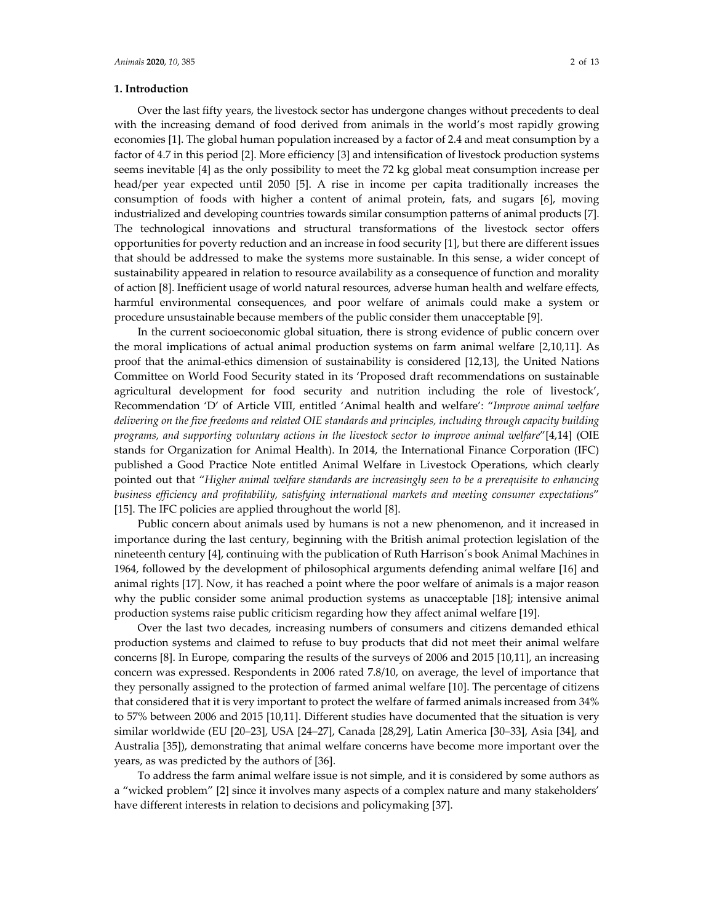#### **1. Introduction**

Over the last fifty years, the livestock sector has undergone changes without precedents to deal with the increasing demand of food derived from animals in the world's most rapidly growing economies [1]. The global human population increased by a factor of 2.4 and meat consumption by a factor of 4.7 in this period [2]. More efficiency [3] and intensification of livestock production systems seems inevitable [4] as the only possibility to meet the 72 kg global meat consumption increase per head/per year expected until 2050 [5]. A rise in income per capita traditionally increases the consumption of foods with higher a content of animal protein, fats, and sugars [6], moving industrialized and developing countries towards similar consumption patterns of animal products [7]. The technological innovations and structural transformations of the livestock sector offers opportunities for poverty reduction and an increase in food security [1], but there are different issues that should be addressed to make the systems more sustainable. In this sense, a wider concept of sustainability appeared in relation to resource availability as a consequence of function and morality of action [8]. Inefficient usage of world natural resources, adverse human health and welfare effects, harmful environmental consequences, and poor welfare of animals could make a system or procedure unsustainable because members of the public consider them unacceptable [9].

In the current socioeconomic global situation, there is strong evidence of public concern over the moral implications of actual animal production systems on farm animal welfare [2,10,11]. As proof that the animal-ethics dimension of sustainability is considered [12,13], the United Nations Committee on World Food Security stated in its 'Proposed draft recommendations on sustainable agricultural development for food security and nutrition including the role of livestock', Recommendation 'D' of Article VIII, entitled 'Animal health and welfare': "*Improve animal welfare delivering on the five freedoms and related OIE standards and principles, including through capacity building programs, and supporting voluntary actions in the livestock sector to improve animal welfare*"[4,14] (OIE stands for Organization for Animal Health). In 2014, the International Finance Corporation (IFC) published a Good Practice Note entitled Animal Welfare in Livestock Operations, which clearly pointed out that "*Higher animal welfare standards are increasingly seen to be a prerequisite to enhancing business efficiency and profitability, satisfying international markets and meeting consumer expectations*" [15]. The IFC policies are applied throughout the world [8].

Public concern about animals used by humans is not a new phenomenon, and it increased in importance during the last century, beginning with the British animal protection legislation of the nineteenth century [4], continuing with the publication of Ruth Harrison´s book Animal Machines in 1964, followed by the development of philosophical arguments defending animal welfare [16] and animal rights [17]. Now, it has reached a point where the poor welfare of animals is a major reason why the public consider some animal production systems as unacceptable [18]; intensive animal production systems raise public criticism regarding how they affect animal welfare [19].

Over the last two decades, increasing numbers of consumers and citizens demanded ethical production systems and claimed to refuse to buy products that did not meet their animal welfare concerns [8]. In Europe, comparing the results of the surveys of 2006 and 2015 [10,11], an increasing concern was expressed. Respondents in 2006 rated 7.8/10, on average, the level of importance that they personally assigned to the protection of farmed animal welfare [10]. The percentage of citizens that considered that it is very important to protect the welfare of farmed animals increased from 34% to 57% between 2006 and 2015 [10,11]. Different studies have documented that the situation is very similar worldwide (EU [20–23], USA [24–27], Canada [28,29], Latin America [30–33], Asia [34], and Australia [35]), demonstrating that animal welfare concerns have become more important over the years, as was predicted by the authors of [36].

To address the farm animal welfare issue is not simple, and it is considered by some authors as a "wicked problem" [2] since it involves many aspects of a complex nature and many stakeholders' have different interests in relation to decisions and policymaking [37].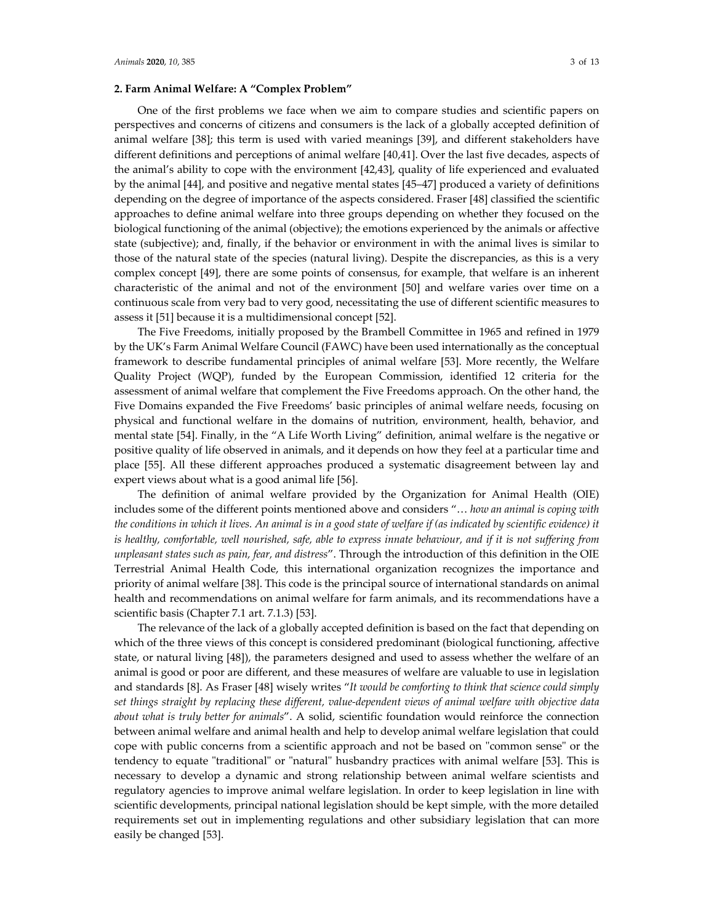# **2. Farm Animal Welfare: A "Complex Problem"**

One of the first problems we face when we aim to compare studies and scientific papers on perspectives and concerns of citizens and consumers is the lack of a globally accepted definition of animal welfare [38]; this term is used with varied meanings [39], and different stakeholders have different definitions and perceptions of animal welfare [40,41]. Over the last five decades, aspects of the animal's ability to cope with the environment [42,43], quality of life experienced and evaluated by the animal [44], and positive and negative mental states [45–47] produced a variety of definitions depending on the degree of importance of the aspects considered. Fraser [48] classified the scientific approaches to define animal welfare into three groups depending on whether they focused on the biological functioning of the animal (objective); the emotions experienced by the animals or affective state (subjective); and, finally, if the behavior or environment in with the animal lives is similar to those of the natural state of the species (natural living). Despite the discrepancies, as this is a very complex concept [49], there are some points of consensus, for example, that welfare is an inherent characteristic of the animal and not of the environment [50] and welfare varies over time on a continuous scale from very bad to very good, necessitating the use of different scientific measures to assess it [51] because it is a multidimensional concept [52].

The Five Freedoms, initially proposed by the Brambell Committee in 1965 and refined in 1979 by the UK's Farm Animal Welfare Council (FAWC) have been used internationally as the conceptual framework to describe fundamental principles of animal welfare [53]. More recently, the Welfare Quality Project (WQP), funded by the European Commission, identified 12 criteria for the assessment of animal welfare that complement the Five Freedoms approach. On the other hand, the Five Domains expanded the Five Freedoms' basic principles of animal welfare needs, focusing on physical and functional welfare in the domains of nutrition, environment, health, behavior, and mental state [54]. Finally, in the "A Life Worth Living" definition, animal welfare is the negative or positive quality of life observed in animals, and it depends on how they feel at a particular time and place [55]. All these different approaches produced a systematic disagreement between lay and expert views about what is a good animal life [56].

The definition of animal welfare provided by the Organization for Animal Health (OIE) includes some of the different points mentioned above and considers "… *how an animal is coping with the conditions in which it lives. An animal is in a good state of welfare if (as indicated by scientific evidence) it is healthy, comfortable, well nourished, safe, able to express innate behaviour, and if it is not suffering from unpleasant states such as pain, fear, and distress*". Through the introduction of this definition in the OIE Terrestrial Animal Health Code, this international organization recognizes the importance and priority of animal welfare [38]. This code is the principal source of international standards on animal health and recommendations on animal welfare for farm animals, and its recommendations have a scientific basis (Chapter 7.1 art. 7.1.3) [53].

The relevance of the lack of a globally accepted definition is based on the fact that depending on which of the three views of this concept is considered predominant (biological functioning, affective state, or natural living [48]), the parameters designed and used to assess whether the welfare of an animal is good or poor are different, and these measures of welfare are valuable to use in legislation and standards [8]. As Fraser [48] wisely writes "*It would be comforting to think that science could simply set things straight by replacing these different, value-dependent views of animal welfare with objective data about what is truly better for animals*". A solid, scientific foundation would reinforce the connection between animal welfare and animal health and help to develop animal welfare legislation that could cope with public concerns from a scientific approach and not be based on "common sense" or the tendency to equate "traditional" or "natural" husbandry practices with animal welfare [53]. This is necessary to develop a dynamic and strong relationship between animal welfare scientists and regulatory agencies to improve animal welfare legislation. In order to keep legislation in line with scientific developments, principal national legislation should be kept simple, with the more detailed requirements set out in implementing regulations and other subsidiary legislation that can more easily be changed [53].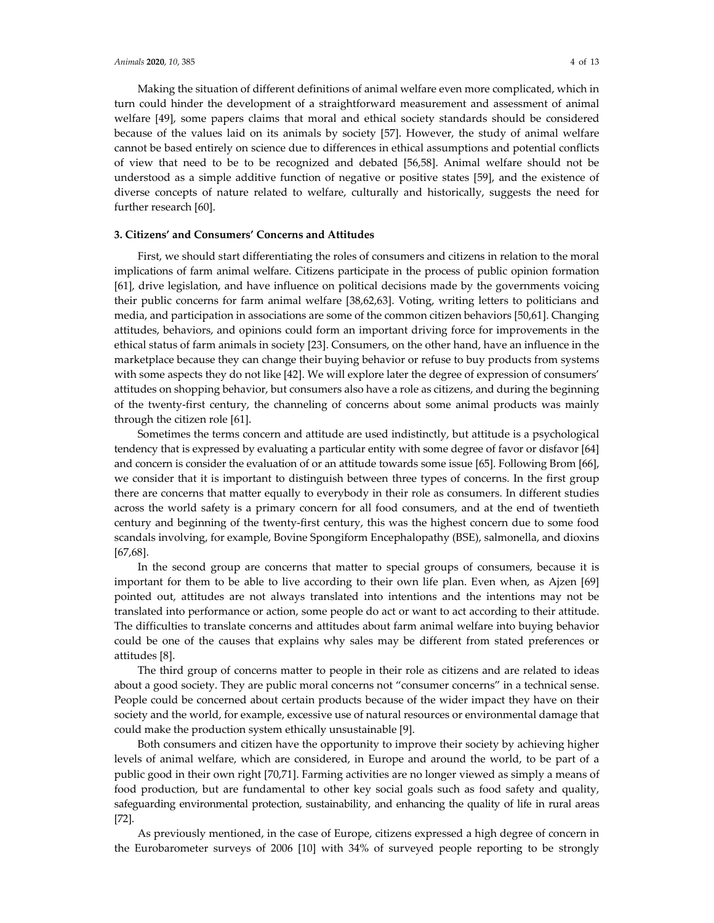Making the situation of different definitions of animal welfare even more complicated, which in turn could hinder the development of a straightforward measurement and assessment of animal welfare [49], some papers claims that moral and ethical society standards should be considered because of the values laid on its animals by society [57]. However, the study of animal welfare cannot be based entirely on science due to differences in ethical assumptions and potential conflicts of view that need to be to be recognized and debated [56,58]. Animal welfare should not be understood as a simple additive function of negative or positive states [59], and the existence of diverse concepts of nature related to welfare, culturally and historically, suggests the need for further research [60].

# **3. Citizens' and Consumers' Concerns and Attitudes**

First, we should start differentiating the roles of consumers and citizens in relation to the moral implications of farm animal welfare. Citizens participate in the process of public opinion formation [61], drive legislation, and have influence on political decisions made by the governments voicing their public concerns for farm animal welfare [38,62,63]. Voting, writing letters to politicians and media, and participation in associations are some of the common citizen behaviors [50,61]. Changing attitudes, behaviors, and opinions could form an important driving force for improvements in the ethical status of farm animals in society [23]. Consumers, on the other hand, have an influence in the marketplace because they can change their buying behavior or refuse to buy products from systems with some aspects they do not like [42]. We will explore later the degree of expression of consumers' attitudes on shopping behavior, but consumers also have a role as citizens, and during the beginning of the twenty-first century, the channeling of concerns about some animal products was mainly through the citizen role [61].

Sometimes the terms concern and attitude are used indistinctly, but attitude is a psychological tendency that is expressed by evaluating a particular entity with some degree of favor or disfavor [64] and concern is consider the evaluation of or an attitude towards some issue [65]. Following Brom [66], we consider that it is important to distinguish between three types of concerns. In the first group there are concerns that matter equally to everybody in their role as consumers. In different studies across the world safety is a primary concern for all food consumers, and at the end of twentieth century and beginning of the twenty-first century, this was the highest concern due to some food scandals involving, for example, Bovine Spongiform Encephalopathy (BSE), salmonella, and dioxins [67,68].

In the second group are concerns that matter to special groups of consumers, because it is important for them to be able to live according to their own life plan. Even when, as Ajzen [69] pointed out, attitudes are not always translated into intentions and the intentions may not be translated into performance or action, some people do act or want to act according to their attitude. The difficulties to translate concerns and attitudes about farm animal welfare into buying behavior could be one of the causes that explains why sales may be different from stated preferences or attitudes [8].

The third group of concerns matter to people in their role as citizens and are related to ideas about a good society. They are public moral concerns not "consumer concerns" in a technical sense. People could be concerned about certain products because of the wider impact they have on their society and the world, for example, excessive use of natural resources or environmental damage that could make the production system ethically unsustainable [9].

Both consumers and citizen have the opportunity to improve their society by achieving higher levels of animal welfare, which are considered, in Europe and around the world, to be part of a public good in their own right [70,71]. Farming activities are no longer viewed as simply a means of food production, but are fundamental to other key social goals such as food safety and quality, safeguarding environmental protection, sustainability, and enhancing the quality of life in rural areas [72].

As previously mentioned, in the case of Europe, citizens expressed a high degree of concern in the Eurobarometer surveys of 2006 [10] with 34% of surveyed people reporting to be strongly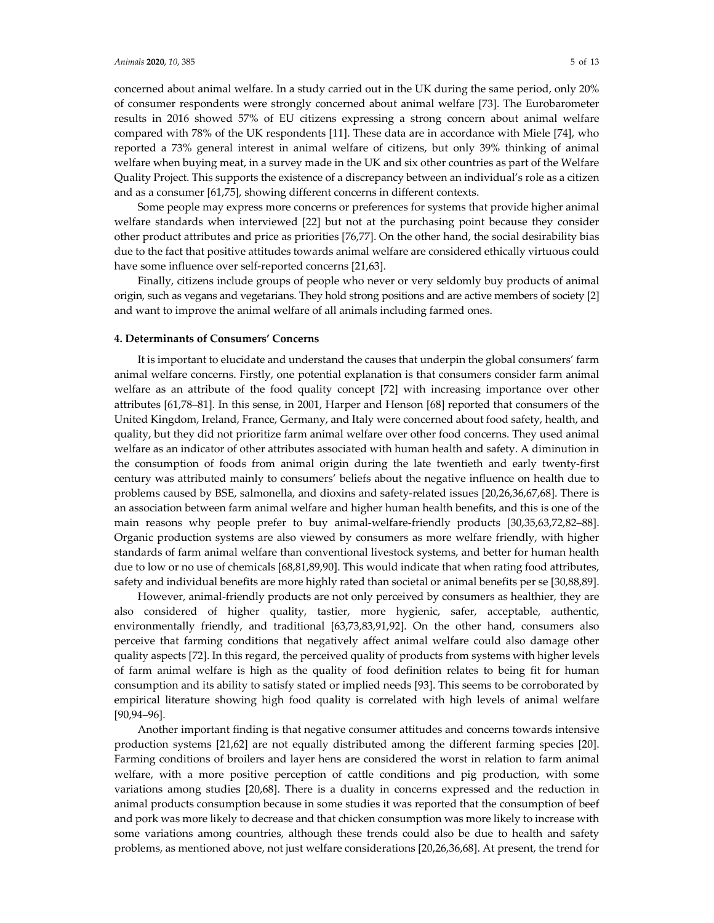concerned about animal welfare. In a study carried out in the UK during the same period, only 20% of consumer respondents were strongly concerned about animal welfare [73]. The Eurobarometer results in 2016 showed 57% of EU citizens expressing a strong concern about animal welfare compared with 78% of the UK respondents [11]. These data are in accordance with Miele [74], who reported a 73% general interest in animal welfare of citizens, but only 39% thinking of animal welfare when buying meat, in a survey made in the UK and six other countries as part of the Welfare Quality Project. This supports the existence of a discrepancy between an individual's role as a citizen and as a consumer [61,75], showing different concerns in different contexts.

Some people may express more concerns or preferences for systems that provide higher animal welfare standards when interviewed [22] but not at the purchasing point because they consider other product attributes and price as priorities [76,77]. On the other hand, the social desirability bias due to the fact that positive attitudes towards animal welfare are considered ethically virtuous could have some influence over self-reported concerns [21,63].

Finally, citizens include groups of people who never or very seldomly buy products of animal origin, such as vegans and vegetarians. They hold strong positions and are active members of society [2] and want to improve the animal welfare of all animals including farmed ones.

### **4. Determinants of Consumers' Concerns**

It is important to elucidate and understand the causes that underpin the global consumers' farm animal welfare concerns. Firstly, one potential explanation is that consumers consider farm animal welfare as an attribute of the food quality concept [72] with increasing importance over other attributes [61,78–81]. In this sense, in 2001, Harper and Henson [68] reported that consumers of the United Kingdom, Ireland, France, Germany, and Italy were concerned about food safety, health, and quality, but they did not prioritize farm animal welfare over other food concerns. They used animal welfare as an indicator of other attributes associated with human health and safety. A diminution in the consumption of foods from animal origin during the late twentieth and early twenty-first century was attributed mainly to consumers' beliefs about the negative influence on health due to problems caused by BSE, salmonella, and dioxins and safety-related issues [20,26,36,67,68]. There is an association between farm animal welfare and higher human health benefits, and this is one of the main reasons why people prefer to buy animal-welfare-friendly products [30,35,63,72,82–88]. Organic production systems are also viewed by consumers as more welfare friendly, with higher standards of farm animal welfare than conventional livestock systems, and better for human health due to low or no use of chemicals [68,81,89,90]. This would indicate that when rating food attributes, safety and individual benefits are more highly rated than societal or animal benefits per se [30,88,89].

However, animal-friendly products are not only perceived by consumers as healthier, they are also considered of higher quality, tastier, more hygienic, safer, acceptable, authentic, environmentally friendly, and traditional [63,73,83,91,92]. On the other hand, consumers also perceive that farming conditions that negatively affect animal welfare could also damage other quality aspects [72]. In this regard, the perceived quality of products from systems with higher levels of farm animal welfare is high as the quality of food definition relates to being fit for human consumption and its ability to satisfy stated or implied needs [93]. This seems to be corroborated by empirical literature showing high food quality is correlated with high levels of animal welfare [90,94–96].

Another important finding is that negative consumer attitudes and concerns towards intensive production systems [21,62] are not equally distributed among the different farming species [20]. Farming conditions of broilers and layer hens are considered the worst in relation to farm animal welfare, with a more positive perception of cattle conditions and pig production, with some variations among studies [20,68]. There is a duality in concerns expressed and the reduction in animal products consumption because in some studies it was reported that the consumption of beef and pork was more likely to decrease and that chicken consumption was more likely to increase with some variations among countries, although these trends could also be due to health and safety problems, as mentioned above, not just welfare considerations [20,26,36,68]. At present, the trend for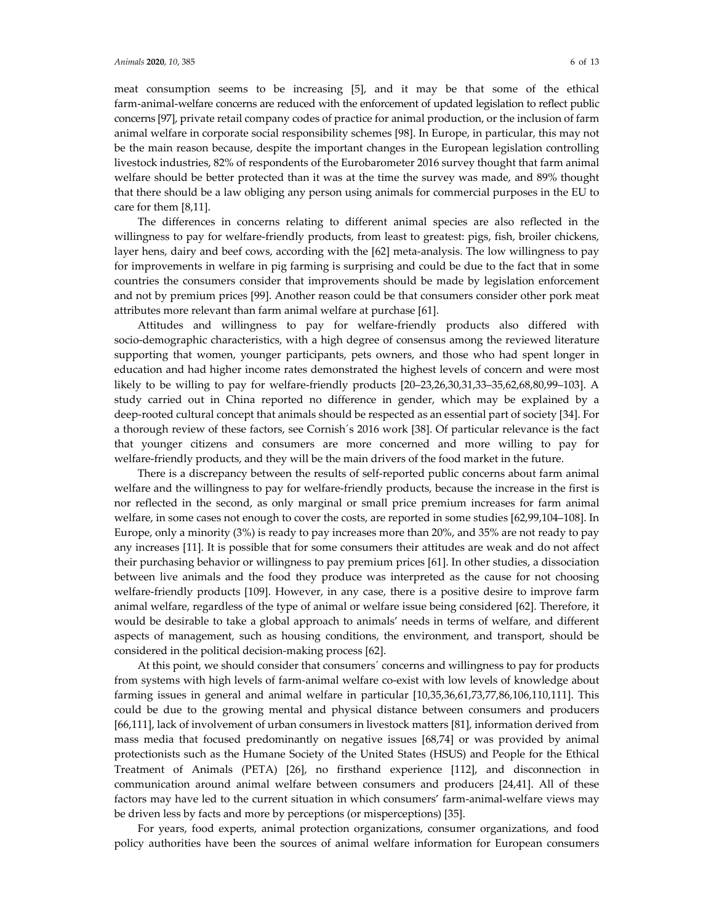meat consumption seems to be increasing [5], and it may be that some of the ethical farm-animal-welfare concerns are reduced with the enforcement of updated legislation to reflect public concerns [97], private retail company codes of practice for animal production, or the inclusion of farm animal welfare in corporate social responsibility schemes [98]. In Europe, in particular, this may not be the main reason because, despite the important changes in the European legislation controlling livestock industries, 82% of respondents of the Eurobarometer 2016 survey thought that farm animal welfare should be better protected than it was at the time the survey was made, and 89% thought that there should be a law obliging any person using animals for commercial purposes in the EU to care for them [8,11].

The differences in concerns relating to different animal species are also reflected in the willingness to pay for welfare-friendly products, from least to greatest: pigs, fish, broiler chickens, layer hens, dairy and beef cows, according with the [62] meta-analysis. The low willingness to pay for improvements in welfare in pig farming is surprising and could be due to the fact that in some countries the consumers consider that improvements should be made by legislation enforcement and not by premium prices [99]. Another reason could be that consumers consider other pork meat attributes more relevant than farm animal welfare at purchase [61].

Attitudes and willingness to pay for welfare-friendly products also differed with socio-demographic characteristics, with a high degree of consensus among the reviewed literature supporting that women, younger participants, pets owners, and those who had spent longer in education and had higher income rates demonstrated the highest levels of concern and were most likely to be willing to pay for welfare-friendly products [20–23,26,30,31,33–35,62,68,80,99–103]. A study carried out in China reported no difference in gender, which may be explained by a deep-rooted cultural concept that animals should be respected as an essential part of society [34]. For a thorough review of these factors, see Cornish´s 2016 work [38]. Of particular relevance is the fact that younger citizens and consumers are more concerned and more willing to pay for welfare-friendly products, and they will be the main drivers of the food market in the future.

There is a discrepancy between the results of self-reported public concerns about farm animal welfare and the willingness to pay for welfare-friendly products, because the increase in the first is nor reflected in the second, as only marginal or small price premium increases for farm animal welfare, in some cases not enough to cover the costs, are reported in some studies [62,99,104–108]. In Europe, only a minority (3%) is ready to pay increases more than 20%, and 35% are not ready to pay any increases [11]. It is possible that for some consumers their attitudes are weak and do not affect their purchasing behavior or willingness to pay premium prices [61]. In other studies, a dissociation between live animals and the food they produce was interpreted as the cause for not choosing welfare-friendly products [109]. However, in any case, there is a positive desire to improve farm animal welfare, regardless of the type of animal or welfare issue being considered [62]. Therefore, it would be desirable to take a global approach to animals' needs in terms of welfare, and different aspects of management, such as housing conditions, the environment, and transport, should be considered in the political decision-making process [62].

At this point, we should consider that consumers´ concerns and willingness to pay for products from systems with high levels of farm-animal welfare co-exist with low levels of knowledge about farming issues in general and animal welfare in particular [10,35,36,61,73,77,86,106,110,111]. This could be due to the growing mental and physical distance between consumers and producers [66,111], lack of involvement of urban consumers in livestock matters [81], information derived from mass media that focused predominantly on negative issues [68,74] or was provided by animal protectionists such as the Humane Society of the United States (HSUS) and People for the Ethical Treatment of Animals (PETA) [26], no firsthand experience [112], and disconnection in communication around animal welfare between consumers and producers [24,41]. All of these factors may have led to the current situation in which consumers' farm-animal-welfare views may be driven less by facts and more by perceptions (or misperceptions) [35].

For years, food experts, animal protection organizations, consumer organizations, and food policy authorities have been the sources of animal welfare information for European consumers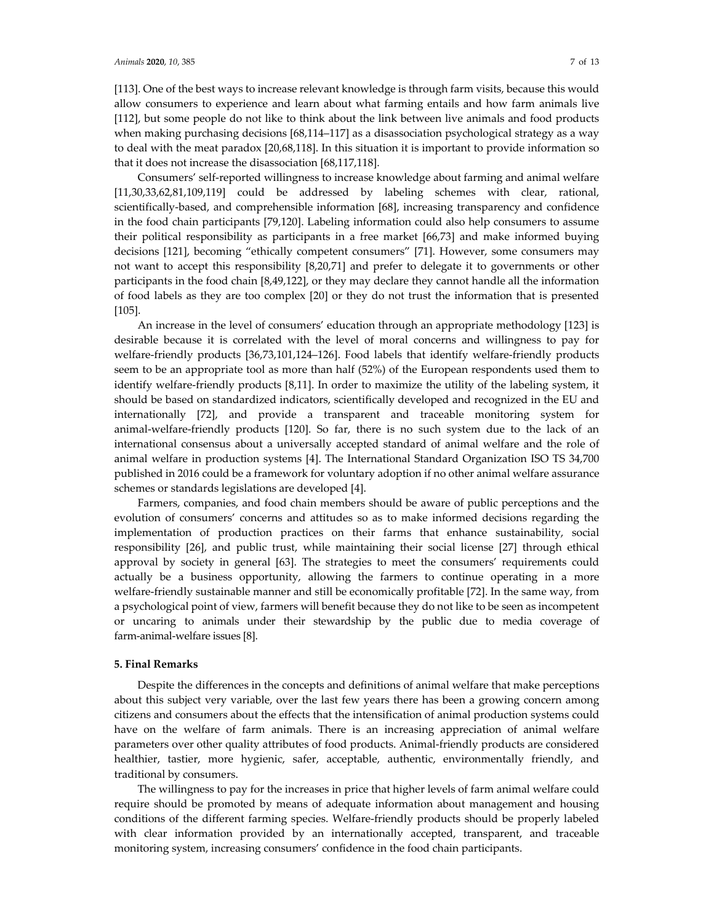[113]. One of the best ways to increase relevant knowledge is through farm visits, because this would allow consumers to experience and learn about what farming entails and how farm animals live [112], but some people do not like to think about the link between live animals and food products when making purchasing decisions [68,114–117] as a disassociation psychological strategy as a way to deal with the meat paradox [20,68,118]. In this situation it is important to provide information so that it does not increase the disassociation [68,117,118].

Consumers' self-reported willingness to increase knowledge about farming and animal welfare [11,30,33,62,81,109,119] could be addressed by labeling schemes with clear, rational, scientifically-based, and comprehensible information [68], increasing transparency and confidence in the food chain participants [79,120]. Labeling information could also help consumers to assume their political responsibility as participants in a free market [66,73] and make informed buying decisions [121], becoming "ethically competent consumers" [71]. However, some consumers may not want to accept this responsibility [8,20,71] and prefer to delegate it to governments or other participants in the food chain [8,49,122], or they may declare they cannot handle all the information of food labels as they are too complex [20] or they do not trust the information that is presented [105].

An increase in the level of consumers' education through an appropriate methodology [123] is desirable because it is correlated with the level of moral concerns and willingness to pay for welfare-friendly products [36,73,101,124–126]. Food labels that identify welfare-friendly products seem to be an appropriate tool as more than half (52%) of the European respondents used them to identify welfare-friendly products [8,11]. In order to maximize the utility of the labeling system, it should be based on standardized indicators, scientifically developed and recognized in the EU and internationally [72], and provide a transparent and traceable monitoring system for animal-welfare-friendly products [120]. So far, there is no such system due to the lack of an international consensus about a universally accepted standard of animal welfare and the role of animal welfare in production systems [4]. The International Standard Organization ISO TS 34,700 published in 2016 could be a framework for voluntary adoption if no other animal welfare assurance schemes or standards legislations are developed [4].

Farmers, companies, and food chain members should be aware of public perceptions and the evolution of consumers' concerns and attitudes so as to make informed decisions regarding the implementation of production practices on their farms that enhance sustainability, social responsibility [26], and public trust, while maintaining their social license [27] through ethical approval by society in general [63]. The strategies to meet the consumers' requirements could actually be a business opportunity, allowing the farmers to continue operating in a more welfare-friendly sustainable manner and still be economically profitable [72]. In the same way, from a psychological point of view, farmers will benefit because they do not like to be seen as incompetent or uncaring to animals under their stewardship by the public due to media coverage of farm-animal-welfare issues [8].

#### **5. Final Remarks**

Despite the differences in the concepts and definitions of animal welfare that make perceptions about this subject very variable, over the last few years there has been a growing concern among citizens and consumers about the effects that the intensification of animal production systems could have on the welfare of farm animals. There is an increasing appreciation of animal welfare parameters over other quality attributes of food products. Animal-friendly products are considered healthier, tastier, more hygienic, safer, acceptable, authentic, environmentally friendly, and traditional by consumers.

The willingness to pay for the increases in price that higher levels of farm animal welfare could require should be promoted by means of adequate information about management and housing conditions of the different farming species. Welfare-friendly products should be properly labeled with clear information provided by an internationally accepted, transparent, and traceable monitoring system, increasing consumers' confidence in the food chain participants.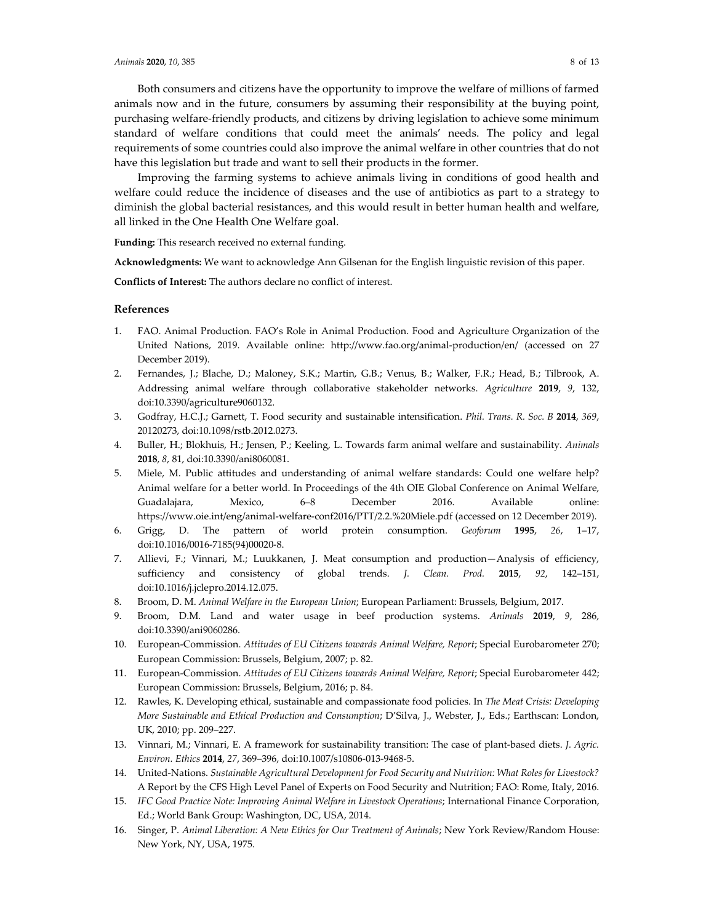Both consumers and citizens have the opportunity to improve the welfare of millions of farmed animals now and in the future, consumers by assuming their responsibility at the buying point, purchasing welfare-friendly products, and citizens by driving legislation to achieve some minimum standard of welfare conditions that could meet the animals' needs. The policy and legal requirements of some countries could also improve the animal welfare in other countries that do not have this legislation but trade and want to sell their products in the former.

Improving the farming systems to achieve animals living in conditions of good health and welfare could reduce the incidence of diseases and the use of antibiotics as part to a strategy to diminish the global bacterial resistances, and this would result in better human health and welfare, all linked in the One Health One Welfare goal.

**Funding:** This research received no external funding.

**Acknowledgments:** We want to acknowledge Ann Gilsenan for the English linguistic revision of this paper.

**Conflicts of Interest:** The authors declare no conflict of interest.

# **References**

- 1. FAO. Animal Production. FAO's Role in Animal Production. Food and Agriculture Organization of the United Nations, 2019. Available online: http://www.fao.org/animal-production/en/ (accessed on 27 December 2019).
- 2. Fernandes, J.; Blache, D.; Maloney, S.K.; Martin, G.B.; Venus, B.; Walker, F.R.; Head, B.; Tilbrook, A. Addressing animal welfare through collaborative stakeholder networks. *Agriculture* **2019**, *9*, 132, doi:10.3390/agriculture9060132.
- 3. Godfray, H.C.J.; Garnett, T. Food security and sustainable intensification. *Phil. Trans. R. Soc. B* **2014**, *369*, 20120273, doi:10.1098/rstb.2012.0273.
- 4. Buller, H.; Blokhuis, H.; Jensen, P.; Keeling, L. Towards farm animal welfare and sustainability. *Animals* **2018**, *8*, 81, doi:10.3390/ani8060081.
- 5. Miele, M. Public attitudes and understanding of animal welfare standards: Could one welfare help? Animal welfare for a better world. In Proceedings of the 4th OIE Global Conference on Animal Welfare, Guadalajara, Mexico, 6–8 December 2016. Available online: https://www.oie.int/eng/animal-welfare-conf2016/PTT/2.2.%20Miele.pdf (accessed on 12 December 2019).
- 6. Grigg, D. The pattern of world protein consumption. *Geoforum* **1995**, *26*, 1–17, doi:10.1016/0016-7185(94)00020-8.
- 7. Allievi, F.; Vinnari, M.; Luukkanen, J. Meat consumption and production—Analysis of efficiency, sufficiency and consistency of global trends. *J. Clean. Prod.* **2015**, *92*, 142–151, doi:10.1016/j.jclepro.2014.12.075.
- 8. Broom, D. M. *Animal Welfare in the European Union*; European Parliament: Brussels, Belgium, 2017.
- 9. Broom, D.M. Land and water usage in beef production systems. *Animals* **2019**, *9*, 286, doi:10.3390/ani9060286.
- 10. European-Commission. *Attitudes of EU Citizens towards Animal Welfare, Report*; Special Eurobarometer 270; European Commission: Brussels, Belgium, 2007; p. 82.
- 11. European-Commission. *Attitudes of EU Citizens towards Animal Welfare, Report*; Special Eurobarometer 442; European Commission: Brussels, Belgium, 2016; p. 84.
- 12. Rawles, K. Developing ethical, sustainable and compassionate food policies. In *The Meat Crisis: Developing More Sustainable and Ethical Production and Consumption*; D'Silva, J., Webster, J., Eds.; Earthscan: London, UK, 2010; pp. 209–227.
- 13. Vinnari, M.; Vinnari, E. A framework for sustainability transition: The case of plant-based diets. *J. Agric. Environ. Ethics* **2014**, *27*, 369–396, doi:10.1007/s10806-013-9468-5.
- 14. United-Nations. *Sustainable Agricultural Development for Food Security and Nutrition: What Roles for Livestock?*  A Report by the CFS High Level Panel of Experts on Food Security and Nutrition; FAO: Rome, Italy, 2016.
- 15. *IFC Good Practice Note: Improving Animal Welfare in Livestock Operations*; International Finance Corporation, Ed.; World Bank Group: Washington, DC, USA, 2014.
- 16. Singer, P. *Animal Liberation: A New Ethics for Our Treatment of Animals*; New York Review/Random House: New York, NY, USA, 1975.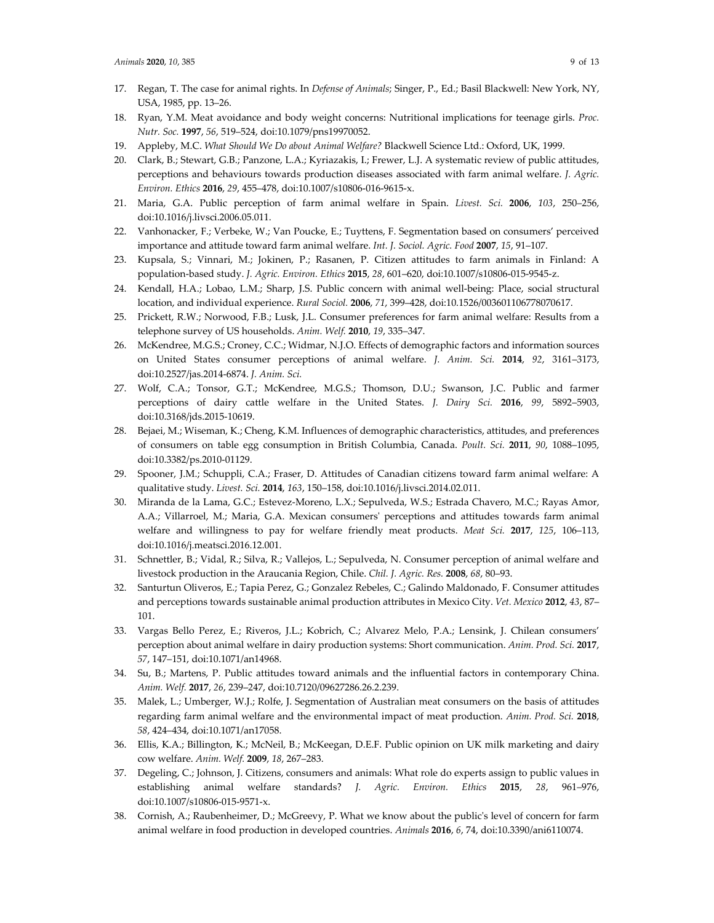- 17. Regan, T. The case for animal rights. In *Defense of Animals*; Singer, P., Ed.; Basil Blackwell: New York, NY, USA, 1985, pp. 13–26.
- 18. Ryan, Y.M. Meat avoidance and body weight concerns: Nutritional implications for teenage girls. *Proc. Nutr. Soc.* **1997**, *56*, 519–524, doi:10.1079/pns19970052.
- 19. Appleby, M.C. *What Should We Do about Animal Welfare?* Blackwell Science Ltd.: Oxford, UK, 1999.
- 20. Clark, B.; Stewart, G.B.; Panzone, L.A.; Kyriazakis, I.; Frewer, L.J. A systematic review of public attitudes, perceptions and behaviours towards production diseases associated with farm animal welfare. *J. Agric. Environ. Ethics* **2016**, *29*, 455–478, doi:10.1007/s10806-016-9615-x.
- 21. Maria, G.A. Public perception of farm animal welfare in Spain. *Livest. Sci.* **2006**, *103*, 250–256, doi:10.1016/j.livsci.2006.05.011.
- 22. Vanhonacker, F.; Verbeke, W.; Van Poucke, E.; Tuyttens, F. Segmentation based on consumers' perceived importance and attitude toward farm animal welfare. *Int. J. Sociol. Agric. Food* **2007**, *15*, 91–107.
- 23. Kupsala, S.; Vinnari, M.; Jokinen, P.; Rasanen, P. Citizen attitudes to farm animals in Finland: A population-based study. *J. Agric. Environ. Ethics* **2015**, *28*, 601–620, doi:10.1007/s10806-015-9545-z.
- 24. Kendall, H.A.; Lobao, L.M.; Sharp, J.S. Public concern with animal well-being: Place, social structural location, and individual experience. *Rural Sociol.* **2006**, *71*, 399–428, doi:10.1526/003601106778070617.
- 25. Prickett, R.W.; Norwood, F.B.; Lusk, J.L. Consumer preferences for farm animal welfare: Results from a telephone survey of US households. *Anim. Welf.* **2010**, *19*, 335–347.
- 26. McKendree, M.G.S.; Croney, C.C.; Widmar, N.J.O. Effects of demographic factors and information sources on United States consumer perceptions of animal welfare. *J. Anim. Sci.* **2014**, *92*, 3161–3173, doi:10.2527/jas.2014-6874. *J. Anim. Sci.*
- 27. Wolf, C.A.; Tonsor, G.T.; McKendree, M.G.S.; Thomson, D.U.; Swanson, J.C. Public and farmer perceptions of dairy cattle welfare in the United States. *J. Dairy Sci.* **2016**, *99*, 5892–5903, doi:10.3168/jds.2015-10619.
- 28. Bejaei, M.; Wiseman, K.; Cheng, K.M. Influences of demographic characteristics, attitudes, and preferences of consumers on table egg consumption in British Columbia, Canada. *Poult. Sci.* **2011**, *90*, 1088–1095, doi:10.3382/ps.2010-01129.
- 29. Spooner, J.M.; Schuppli, C.A.; Fraser, D. Attitudes of Canadian citizens toward farm animal welfare: A qualitative study. *Livest. Sci.* **2014**, *163*, 150–158, doi:10.1016/j.livsci.2014.02.011.
- 30. Miranda de la Lama, G.C.; Estevez-Moreno, L.X.; Sepulveda, W.S.; Estrada Chavero, M.C.; Rayas Amor, A.A.; Villarroel, M.; Maria, G.A. Mexican consumers' perceptions and attitudes towards farm animal welfare and willingness to pay for welfare friendly meat products. *Meat Sci.* **2017**, *125*, 106–113, doi:10.1016/j.meatsci.2016.12.001.
- 31. Schnettler, B.; Vidal, R.; Silva, R.; Vallejos, L.; Sepulveda, N. Consumer perception of animal welfare and livestock production in the Araucania Region, Chile. *Chil. J. Agric. Res.* **2008**, *68*, 80–93.
- 32. Santurtun Oliveros, E.; Tapia Perez, G.; Gonzalez Rebeles, C.; Galindo Maldonado, F. Consumer attitudes and perceptions towards sustainable animal production attributes in Mexico City. *Vet. Mexico* **2012**, *43*, 87– 101.
- 33. Vargas Bello Perez, E.; Riveros, J.L.; Kobrich, C.; Alvarez Melo, P.A.; Lensink, J. Chilean consumers' perception about animal welfare in dairy production systems: Short communication. *Anim. Prod. Sci.* **2017**, *57*, 147–151, doi:10.1071/an14968.
- 34. Su, B.; Martens, P. Public attitudes toward animals and the influential factors in contemporary China. *Anim. Welf.* **2017**, *26*, 239–247, doi:10.7120/09627286.26.2.239.
- 35. Malek, L.; Umberger, W.J.; Rolfe, J. Segmentation of Australian meat consumers on the basis of attitudes regarding farm animal welfare and the environmental impact of meat production. *Anim. Prod. Sci.* **2018**, *58*, 424–434, doi:10.1071/an17058.
- 36. Ellis, K.A.; Billington, K.; McNeil, B.; McKeegan, D.E.F. Public opinion on UK milk marketing and dairy cow welfare. *Anim. Welf.* **2009**, *18*, 267–283.
- 37. Degeling, C.; Johnson, J. Citizens, consumers and animals: What role do experts assign to public values in establishing animal welfare standards? *J. Agric. Environ. Ethics* **2015**, *28*, 961–976, doi:10.1007/s10806-015-9571-x.
- 38. Cornish, A.; Raubenheimer, D.; McGreevy, P. What we know about the public's level of concern for farm animal welfare in food production in developed countries. *Animals* **2016**, *6*, 74, doi:10.3390/ani6110074.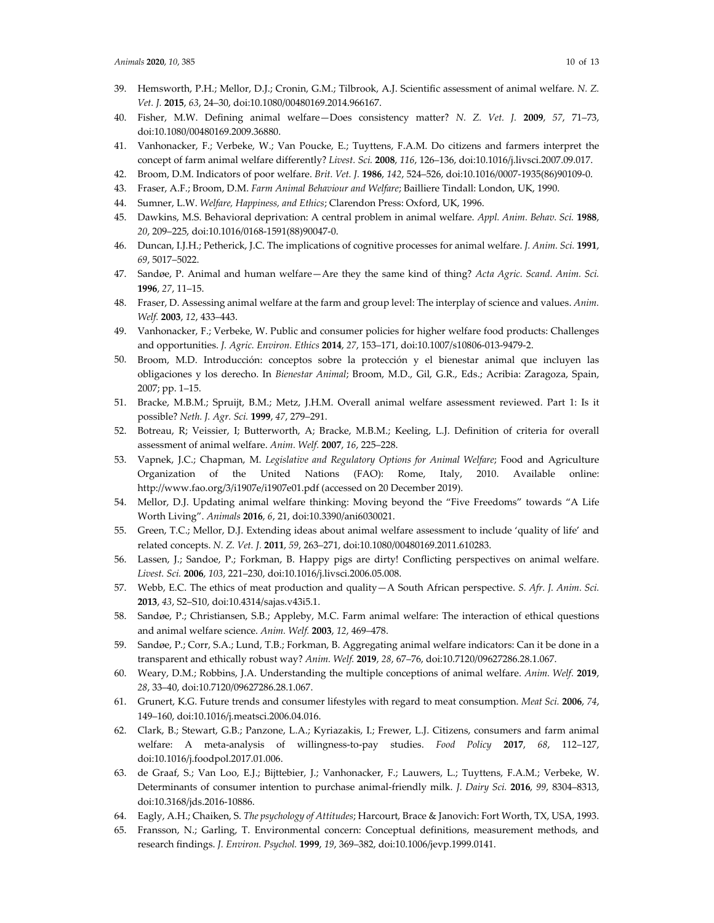- 39. Hemsworth, P.H.; Mellor, D.J.; Cronin, G.M.; Tilbrook, A.J. Scientific assessment of animal welfare. *N. Z. Vet. J.* **2015**, *63*, 24–30, doi:10.1080/00480169.2014.966167.
- 40. Fisher, M.W. Defining animal welfare—Does consistency matter? *N. Z. Vet. J.* **2009**, *57*, 71–73, doi:10.1080/00480169.2009.36880.
- 41. Vanhonacker, F.; Verbeke, W.; Van Poucke, E.; Tuyttens, F.A.M. Do citizens and farmers interpret the concept of farm animal welfare differently? *Livest. Sci.* **2008**, *116*, 126–136, doi:10.1016/j.livsci.2007.09.017.
- 42. Broom, D.M. Indicators of poor welfare. *Brit. Vet. J.* **1986**, *142*, 524–526, doi:10.1016/0007-1935(86)90109-0.
- 43. Fraser, A.F.; Broom, D.M. *Farm Animal Behaviour and Welfare*; Bailliere Tindall: London, UK, 1990.
- 44. Sumner, L.W. *Welfare, Happiness, and Ethics*; Clarendon Press: Oxford, UK, 1996.
- 45. Dawkins, M.S. Behavioral deprivation: A central problem in animal welfare. *Appl. Anim. Behav. Sci.* **1988**, *20*, 209–225, doi:10.1016/0168-1591(88)90047-0.
- 46. Duncan, I.J.H.; Petherick, J.C. The implications of cognitive processes for animal welfare. *J. Anim. Sci.* **1991**, *69*, 5017–5022.
- 47. Sandøe, P. Animal and human welfare—Are they the same kind of thing? *Acta Agric. Scand. Anim. Sci.* **1996**, *27*, 11–15.
- 48. Fraser, D. Assessing animal welfare at the farm and group level: The interplay of science and values. *Anim. Welf.* **2003**, *12*, 433–443.
- 49. Vanhonacker, F.; Verbeke, W. Public and consumer policies for higher welfare food products: Challenges and opportunities. *J. Agric. Environ. Ethics* **2014**, *27*, 153–171, doi:10.1007/s10806-013-9479-2.
- 50. Broom, M.D. Introducción: conceptos sobre la protección y el bienestar animal que incluyen las obligaciones y los derecho. In *Bienestar Animal*; Broom, M.D., Gil, G.R., Eds.; Acribia: Zaragoza, Spain, 2007; pp. 1–15.
- 51. Bracke, M.B.M.; Spruijt, B.M.; Metz, J.H.M. Overall animal welfare assessment reviewed. Part 1: Is it possible? *Neth. J. Agr. Sci.* **1999**, *47*, 279–291.
- 52. Botreau, R; Veissier, I; Butterworth, A; Bracke, M.B.M.; Keeling, L.J. Definition of criteria for overall assessment of animal welfare. *Anim. Welf.* **2007**, *16*, 225–228.
- 53. Vapnek, J.C.; Chapman, M. *Legislative and Regulatory Options for Animal Welfare*; Food and Agriculture Organization of the United Nations (FAO): Rome, Italy, 2010. Available online: http://www.fao.org/3/i1907e/i1907e01.pdf (accessed on 20 December 2019).
- 54. Mellor, D.J. Updating animal welfare thinking: Moving beyond the "Five Freedoms" towards "A Life Worth Living". *Animals* **2016**, *6*, 21, doi:10.3390/ani6030021.
- 55. Green, T.C.; Mellor, D.J. Extending ideas about animal welfare assessment to include 'quality of life' and related concepts. *N. Z. Vet. J.* **2011**, *59*, 263–271, doi:10.1080/00480169.2011.610283.
- 56. Lassen, J.; Sandoe, P.; Forkman, B. Happy pigs are dirty! Conflicting perspectives on animal welfare. *Livest. Sci.* **2006**, *103*, 221–230, doi:10.1016/j.livsci.2006.05.008.
- 57. Webb, E.C. The ethics of meat production and quality—A South African perspective. *S. Afr. J. Anim. Sci.* **2013**, *43*, S2–S10, doi:10.4314/sajas.v43i5.1.
- 58. Sandøe, P.; Christiansen, S.B.; Appleby, M.C. Farm animal welfare: The interaction of ethical questions and animal welfare science. *Anim. Welf.* **2003**, *12*, 469–478.
- 59. Sandøe, P.; Corr, S.A.; Lund, T.B.; Forkman, B. Aggregating animal welfare indicators: Can it be done in a transparent and ethically robust way? *Anim. Welf.* **2019**, *28*, 67–76, doi:10.7120/09627286.28.1.067.
- 60. Weary, D.M.; Robbins, J.A. Understanding the multiple conceptions of animal welfare. *Anim. Welf.* **2019**, *28*, 33–40, doi:10.7120/09627286.28.1.067.
- 61. Grunert, K.G. Future trends and consumer lifestyles with regard to meat consumption. *Meat Sci.* **2006**, *74*, 149–160, doi:10.1016/j.meatsci.2006.04.016.
- 62. Clark, B.; Stewart, G.B.; Panzone, L.A.; Kyriazakis, I.; Frewer, L.J. Citizens, consumers and farm animal welfare: A meta-analysis of willingness-to-pay studies. *Food Policy* **2017**, *68*, 112–127, doi:10.1016/j.foodpol.2017.01.006.
- 63. de Graaf, S.; Van Loo, E.J.; Bijttebier, J.; Vanhonacker, F.; Lauwers, L.; Tuyttens, F.A.M.; Verbeke, W. Determinants of consumer intention to purchase animal-friendly milk. *J. Dairy Sci.* **2016**, *99*, 8304–8313, doi:10.3168/jds.2016-10886.
- 64. Eagly, A.H.; Chaiken, S. *The psychology of Attitudes*; Harcourt, Brace & Janovich: Fort Worth, TX, USA, 1993.
- 65. Fransson, N.; Garling, T. Environmental concern: Conceptual definitions, measurement methods, and research findings. *J. Environ. Psychol.* **1999**, *19*, 369–382, doi:10.1006/jevp.1999.0141.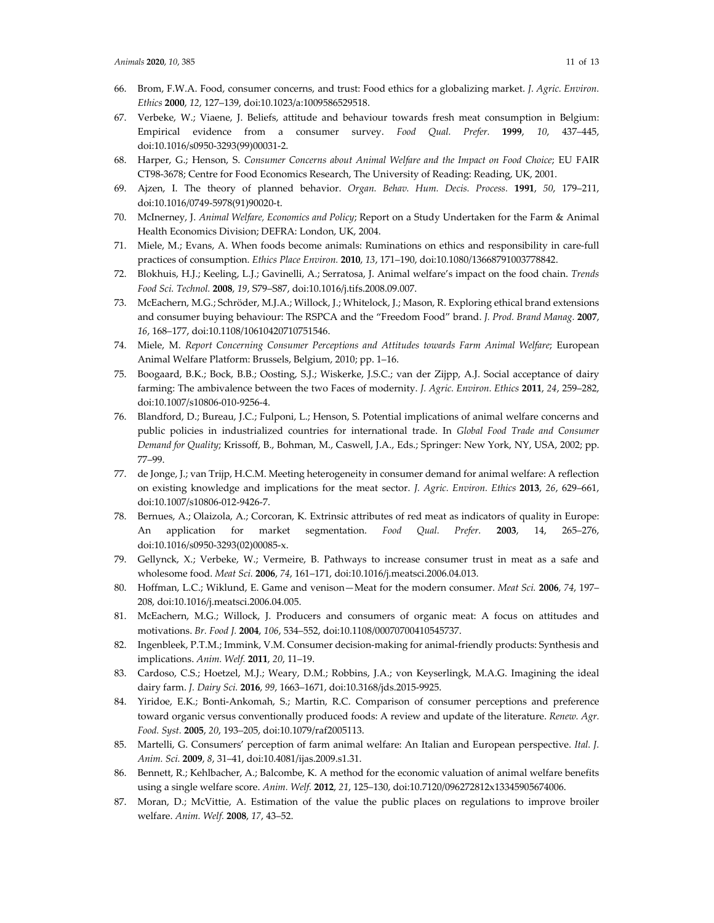- 66. Brom, F.W.A. Food, consumer concerns, and trust: Food ethics for a globalizing market. *J. Agric. Environ. Ethics* **2000**, *12*, 127–139, doi:10.1023/a:1009586529518.
- 67. Verbeke, W.; Viaene, J. Beliefs, attitude and behaviour towards fresh meat consumption in Belgium: Empirical evidence from a consumer survey. *Food Qual. Prefer.* **1999**, *10*, 437–445, doi:10.1016/s0950-3293(99)00031-2.
- 68. Harper, G.; Henson, S. *Consumer Concerns about Animal Welfare and the Impact on Food Choice*; EU FAIR CT98-3678; Centre for Food Economics Research, The University of Reading: Reading, UK, 2001.
- 69. Ajzen, I. The theory of planned behavior. *Organ. Behav. Hum. Decis. Process.* **1991**, *50*, 179–211, doi:10.1016/0749-5978(91)90020-t.
- 70. McInerney, J. *Animal Welfare, Economics and Policy*; Report on a Study Undertaken for the Farm & Animal Health Economics Division; DEFRA: London, UK, 2004.
- 71. Miele, M.; Evans, A. When foods become animals: Ruminations on ethics and responsibility in care-full practices of consumption. *Ethics Place Environ.* **2010**, *13*, 171–190, doi:10.1080/13668791003778842.
- 72. Blokhuis, H.J.; Keeling, L.J.; Gavinelli, A.; Serratosa, J. Animal welfare's impact on the food chain. *Trends Food Sci. Technol.* **2008**, *19*, S79–S87, doi:10.1016/j.tifs.2008.09.007.
- 73. McEachern, M.G.; Schröder, M.J.A.; Willock, J.; Whitelock, J.; Mason, R. Exploring ethical brand extensions and consumer buying behaviour: The RSPCA and the "Freedom Food" brand. *J. Prod. Brand Manag.* **2007**, *16*, 168–177, doi:10.1108/10610420710751546.
- 74. Miele, M. *Report Concerning Consumer Perceptions and Attitudes towards Farm Animal Welfare*; European Animal Welfare Platform: Brussels, Belgium, 2010; pp. 1–16.
- 75. Boogaard, B.K.; Bock, B.B.; Oosting, S.J.; Wiskerke, J.S.C.; van der Zijpp, A.J. Social acceptance of dairy farming: The ambivalence between the two Faces of modernity. *J. Agric. Environ. Ethics* **2011**, *24*, 259–282, doi:10.1007/s10806-010-9256-4.
- 76. Blandford, D.; Bureau, J.C.; Fulponi, L.; Henson, S. Potential implications of animal welfare concerns and public policies in industrialized countries for international trade. In *Global Food Trade and Consumer Demand for Quality*; Krissoff, B., Bohman, M., Caswell, J.A., Eds.; Springer: New York, NY, USA, 2002; pp. 77–99.
- 77. de Jonge, J.; van Trijp, H.C.M. Meeting heterogeneity in consumer demand for animal welfare: A reflection on existing knowledge and implications for the meat sector. *J. Agric. Environ. Ethics* **2013**, *26*, 629–661, doi:10.1007/s10806-012-9426-7.
- 78. Bernues, A.; Olaizola, A.; Corcoran, K. Extrinsic attributes of red meat as indicators of quality in Europe: An application for market segmentation. *Food Qual. Prefer.* **2003**, 14, 265–276, doi:10.1016/s0950-3293(02)00085-x.
- 79. Gellynck, X.; Verbeke, W.; Vermeire, B. Pathways to increase consumer trust in meat as a safe and wholesome food. *Meat Sci.* **2006**, *74*, 161–171, doi:10.1016/j.meatsci.2006.04.013.
- 80. Hoffman, L.C.; Wiklund, E. Game and venison—Meat for the modern consumer. *Meat Sci.* **2006**, *74*, 197– 208, doi:10.1016/j.meatsci.2006.04.005.
- 81. McEachern, M.G.; Willock, J. Producers and consumers of organic meat: A focus on attitudes and motivations. *Br. Food J.* **2004**, *106*, 534–552, doi:10.1108/00070700410545737.
- 82. Ingenbleek, P.T.M.; Immink, V.M. Consumer decision-making for animal-friendly products: Synthesis and implications. *Anim. Welf.* **2011**, *20*, 11–19.
- 83. Cardoso, C.S.; Hoetzel, M.J.; Weary, D.M.; Robbins, J.A.; von Keyserlingk, M.A.G. Imagining the ideal dairy farm. *J. Dairy Sci.* **2016**, *99*, 1663–1671, doi:10.3168/jds.2015-9925.
- 84. Yiridoe, E.K.; Bonti-Ankomah, S.; Martin, R.C. Comparison of consumer perceptions and preference toward organic versus conventionally produced foods: A review and update of the literature. *Renew. Agr. Food. Syst.* **2005**, *20*, 193–205, doi:10.1079/raf2005113.
- 85. Martelli, G. Consumers' perception of farm animal welfare: An Italian and European perspective. *Ital. J. Anim. Sci.* **2009**, *8*, 31–41, doi:10.4081/ijas.2009.s1.31.
- 86. Bennett, R.; Kehlbacher, A.; Balcombe, K. A method for the economic valuation of animal welfare benefits using a single welfare score. *Anim. Welf.* **2012**, *21*, 125–130, doi:10.7120/096272812x13345905674006.
- 87. Moran, D.; McVittie, A. Estimation of the value the public places on regulations to improve broiler welfare. *Anim. Welf.* **2008**, *17*, 43–52.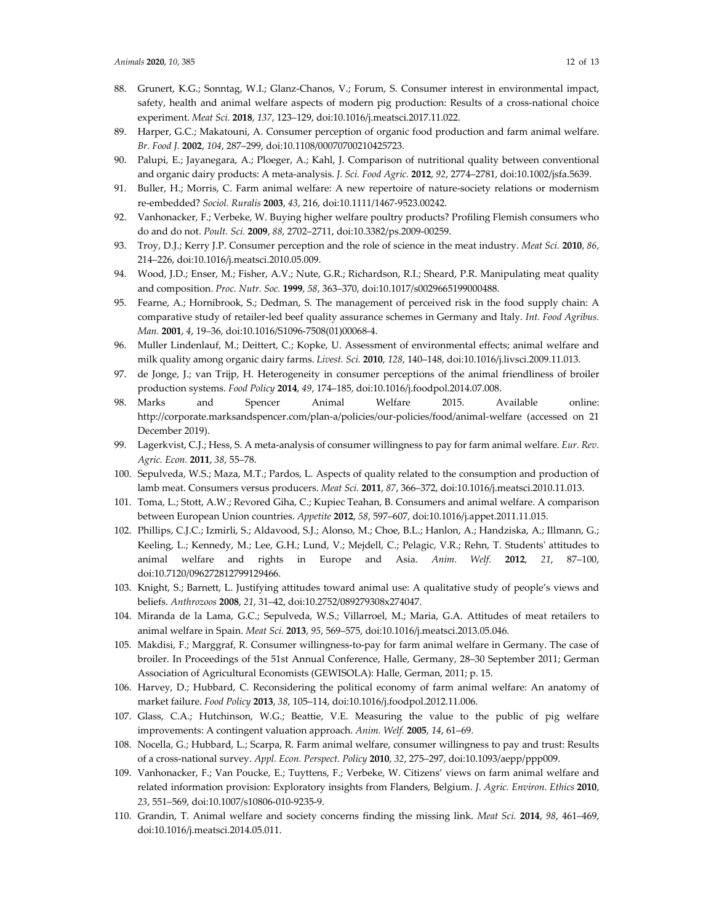- 88. Grunert, K.G.; Sonntag, W.I.; Glanz-Chanos, V.; Forum, S. Consumer interest in environmental impact, safety, health and animal welfare aspects of modern pig production: Results of a cross-national choice experiment. *Meat Sci.* **2018**, *137*, 123–129, doi:10.1016/j.meatsci.2017.11.022.
- 89. Harper, G.C.; Makatouni, A. Consumer perception of organic food production and farm animal welfare. *Br. Food J.* **2002**, *104*, 287–299, doi:10.1108/00070700210425723.
- 90. Palupi, E.; Jayanegara, A.; Ploeger, A.; Kahl, J. Comparison of nutritional quality between conventional and organic dairy products: A meta-analysis. *J. Sci. Food Agric.* **2012**, *92*, 2774–2781, doi:10.1002/jsfa.5639.
- 91. Buller, H.; Morris, C. Farm animal welfare: A new repertoire of nature-society relations or modernism re-embedded? *Sociol. Ruralis* **2003**, *43*, 216, doi:10.1111/1467-9523.00242.
- 92. Vanhonacker, F.; Verbeke, W. Buying higher welfare poultry products? Profiling Flemish consumers who do and do not. *Poult. Sci.* **2009**, *88*, 2702–2711, doi:10.3382/ps.2009-00259.
- 93. Troy, D.J.; Kerry J.P. Consumer perception and the role of science in the meat industry. *Meat Sci.* **2010**, *86*, 214–226, doi:10.1016/j.meatsci.2010.05.009.
- 94. Wood, J.D.; Enser, M.; Fisher, A.V.; Nute, G.R.; Richardson, R.I.; Sheard, P.R. Manipulating meat quality and composition. *Proc. Nutr. Soc.* **1999**, *58*, 363–370, doi:10.1017/s0029665199000488.
- 95. Fearne, A.; Hornibrook, S.; Dedman, S. The management of perceived risk in the food supply chain: A comparative study of retailer-led beef quality assurance schemes in Germany and Italy. *Int. Food Agribus. Man.* **2001**, *4*, 19–36, doi:10.1016/S1096-7508(01)00068-4.
- 96. Muller Lindenlauf, M.; Deittert, C.; Kopke, U. Assessment of environmental effects; animal welfare and milk quality among organic dairy farms. *Livest. Sci.* **2010**, *128*, 140–148, doi:10.1016/j.livsci.2009.11.013.
- 97. de Jonge, J.; van Trijp, H. Heterogeneity in consumer perceptions of the animal friendliness of broiler production systems. *Food Policy* **2014**, *49*, 174–185, doi:10.1016/j.foodpol.2014.07.008.
- 98. Marks and Spencer Animal Welfare 2015. Available online: http://corporate.marksandspencer.com/plan-a/policies/our-policies/food/animal-welfare (accessed on 21 December 2019).
- 99. Lagerkvist, C.J.; Hess, S. A meta-analysis of consumer willingness to pay for farm animal welfare. *Eur. Rev. Agric. Econ.* **2011**, *38*, 55–78.
- 100. Sepulveda, W.S.; Maza, M.T.; Pardos, L. Aspects of quality related to the consumption and production of lamb meat. Consumers versus producers. *Meat Sci.* **2011**, *87*, 366–372, doi:10.1016/j.meatsci.2010.11.013.
- 101. Toma, L.; Stott, A.W.; Revored Giha, C.; Kupiec Teahan, B. Consumers and animal welfare. A comparison between European Union countries. *Appetite* **2012**, *58*, 597–607, doi:10.1016/j.appet.2011.11.015.
- 102. Phillips, C.J.C.; Izmirli, S.; Aldavood, S.J.; Alonso, M.; Choe, B.L.; Hanlon, A.; Handziska, A.; Illmann, G.; Keeling, L.; Kennedy, M.; Lee, G.H.; Lund, V.; Mejdell, C.; Pelagic, V.R.; Rehn, T. Students' attitudes to animal welfare and rights in Europe and Asia. *Anim. Welf.* **2012**, *21*, 87–100, doi:10.7120/096272812799129466.
- 103. Knight, S.; Barnett, L. Justifying attitudes toward animal use: A qualitative study of people's views and beliefs. *Anthrozoos* **2008**, *21*, 31–42, doi:10.2752/089279308x274047.
- 104. Miranda de la Lama, G.C.; Sepulveda, W.S.; Villarroel, M.; Maria, G.A. Attitudes of meat retailers to animal welfare in Spain. *Meat Sci.* **2013**, *95*, 569–575, doi:10.1016/j.meatsci.2013.05.046.
- 105. Makdisi, F.; Marggraf, R. Consumer willingness-to-pay for farm animal welfare in Germany. The case of broiler. In Proceedings of the 51st Annual Conference, Halle, Germany, 28–30 September 2011; German Association of Agricultural Economists (GEWISOLA): Halle, German, 2011; p. 15.
- 106. Harvey, D.; Hubbard, C. Reconsidering the political economy of farm animal welfare: An anatomy of market failure. *Food Policy* **2013**, *38*, 105–114, doi:10.1016/j.foodpol.2012.11.006.
- 107. Glass, C.A.; Hutchinson, W.G.; Beattie, V.E. Measuring the value to the public of pig welfare improvements: A contingent valuation approach. *Anim. Welf.* **2005**, *14*, 61–69.
- 108. Nocella, G.; Hubbard, L.; Scarpa, R. Farm animal welfare, consumer willingness to pay and trust: Results of a cross-national survey. *Appl. Econ. Perspect. Policy* **2010**, *32*, 275–297, doi:10.1093/aepp/ppp009.
- 109. Vanhonacker, F.; Van Poucke, E.; Tuyttens, F.; Verbeke, W. Citizens' views on farm animal welfare and related information provision: Exploratory insights from Flanders, Belgium. *J. Agric. Environ. Ethics* **2010**, *23*, 551–569, doi:10.1007/s10806-010-9235-9.
- 110. Grandin, T. Animal welfare and society concerns finding the missing link. *Meat Sci.* **2014**, *98*, 461–469, doi:10.1016/j.meatsci.2014.05.011.